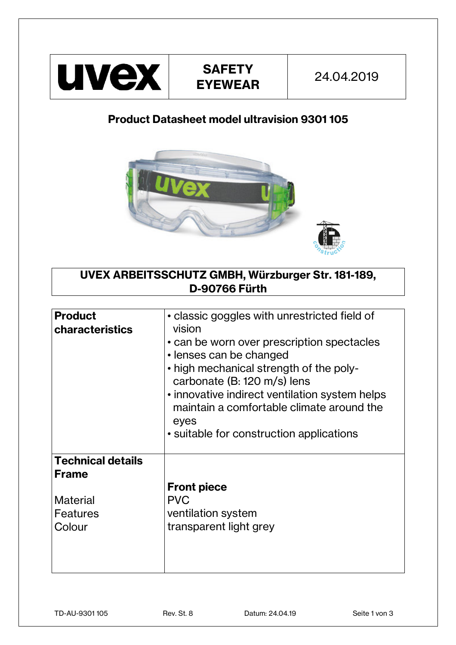

## **Product Datasheet model ultravision 9301 105**



**UVEX ARBEITSSCHUTZ GMBH, Würzburger Str. 181-189, D-90766 Fürth** 

| <b>Product</b><br><b>characteristics</b>                    | • classic goggles with unrestricted field of<br>vision<br>• can be worn over prescription spectacles<br>• lenses can be changed<br>• high mechanical strength of the poly-<br>carbonate (B: 120 m/s) lens<br>• innovative indirect ventilation system helps<br>maintain a comfortable climate around the<br>eyes<br>• suitable for construction applications |
|-------------------------------------------------------------|--------------------------------------------------------------------------------------------------------------------------------------------------------------------------------------------------------------------------------------------------------------------------------------------------------------------------------------------------------------|
| <b>Technical details</b><br><b>Frame</b><br><b>Material</b> | <b>Front piece</b><br><b>PVC</b>                                                                                                                                                                                                                                                                                                                             |
| Features<br>Colour                                          | ventilation system<br>transparent light grey                                                                                                                                                                                                                                                                                                                 |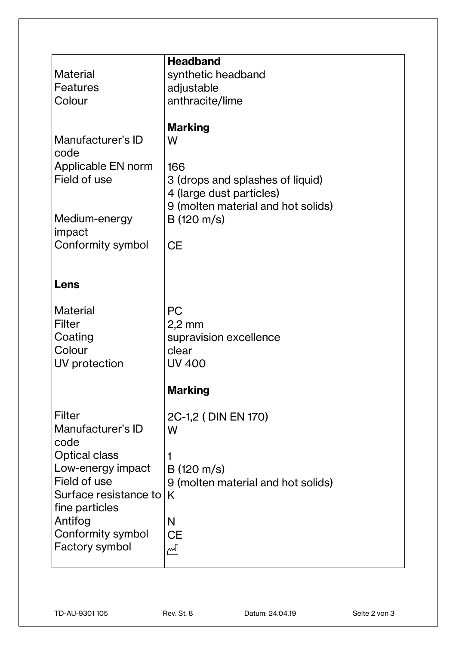|                       | <b>Headband</b>                    |
|-----------------------|------------------------------------|
| <b>Material</b>       | synthetic headband                 |
| Features              | adjustable                         |
| Colour                | anthracite/lime                    |
|                       |                                    |
|                       | <b>Marking</b>                     |
| Manufacturer's ID     | W                                  |
| code                  |                                    |
| Applicable EN norm    | 166                                |
| Field of use          | 3 (drops and splashes of liquid)   |
|                       | 4 (large dust particles)           |
|                       | 9 (molten material and hot solids) |
| Medium-energy         | $B(120 \text{ m/s})$               |
| impact                |                                    |
| Conformity symbol     | <b>CE</b>                          |
|                       |                                    |
|                       |                                    |
| Lens                  |                                    |
|                       |                                    |
| <b>Material</b>       | <b>PC</b>                          |
| <b>Filter</b>         | $2,2$ mm                           |
| Coating               | supravision excellence             |
| Colour                | clear                              |
| UV protection         | <b>UV 400</b>                      |
|                       |                                    |
|                       | <b>Marking</b>                     |
|                       |                                    |
| Filter                | 2C-1,2 (DIN EN 170)                |
| Manufacturer's ID     | W                                  |
| code                  |                                    |
| <b>Optical class</b>  |                                    |
| Low-energy impact     | $B(120 \text{ m/s})$               |
| Field of use          | 9 (molten material and hot solids) |
| Surface resistance to | K                                  |
| fine particles        |                                    |
| Antifog               |                                    |
|                       | N                                  |
| Conformity symbol     | <b>CE</b>                          |
| <b>Factory symbol</b> | m                                  |
|                       |                                    |